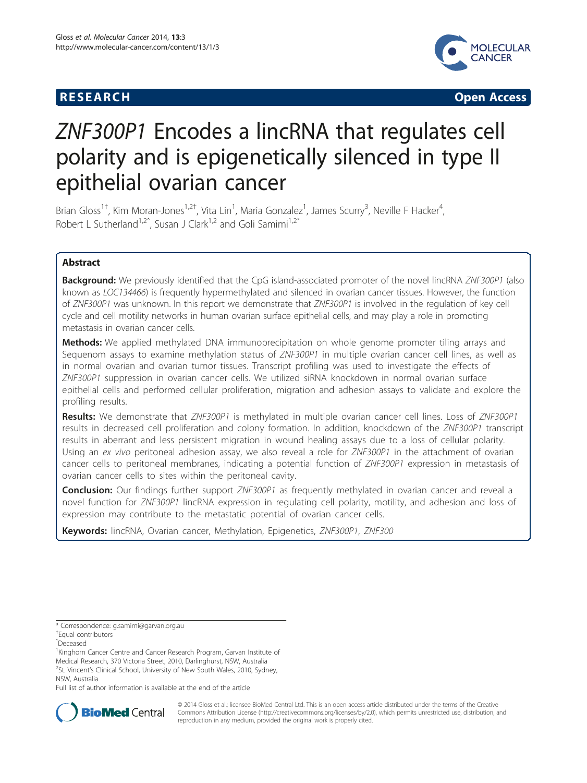# **RESEARCH CHINESE ARCH CHINESE ARCH CHINESE ARCH**



# ZNF300P1 Encodes a lincRNA that regulates cell polarity and is epigenetically silenced in type II epithelial ovarian cancer

Brian Gloss<sup>1†</sup>, Kim Moran-Jones<sup>1,2†</sup>, Vita Lin<sup>1</sup>, Maria Gonzalez<sup>1</sup>, James Scurry<sup>3</sup>, Neville F Hacker<sup>4</sup> , Robert L Sutherland<sup>1,2°</sup>, Susan J Clark<sup>1,2</sup> and Goli Samimi<sup>1,2\*</sup>

# Abstract

**Background:** We previously identified that the CpG island-associated promoter of the novel lincRNA ZNF300P1 (also known as LOC134466) is frequently hypermethylated and silenced in ovarian cancer tissues. However, the function of ZNF300P1 was unknown. In this report we demonstrate that ZNF300P1 is involved in the regulation of key cell cycle and cell motility networks in human ovarian surface epithelial cells, and may play a role in promoting metastasis in ovarian cancer cells.

Methods: We applied methylated DNA immunoprecipitation on whole genome promoter tiling arrays and Sequenom assays to examine methylation status of ZNF300P1 in multiple ovarian cancer cell lines, as well as in normal ovarian and ovarian tumor tissues. Transcript profiling was used to investigate the effects of ZNF300P1 suppression in ovarian cancer cells. We utilized siRNA knockdown in normal ovarian surface epithelial cells and performed cellular proliferation, migration and adhesion assays to validate and explore the profiling results.

Results: We demonstrate that ZNF300P1 is methylated in multiple ovarian cancer cell lines. Loss of ZNF300P1 results in decreased cell proliferation and colony formation. In addition, knockdown of the ZNF300P1 transcript results in aberrant and less persistent migration in wound healing assays due to a loss of cellular polarity. Using an ex vivo peritoneal adhesion assay, we also reveal a role for ZNF300P1 in the attachment of ovarian cancer cells to peritoneal membranes, indicating a potential function of ZNF300P1 expression in metastasis of ovarian cancer cells to sites within the peritoneal cavity.

**Conclusion:** Our findings further support ZNF300P1 as frequently methylated in ovarian cancer and reveal a novel function for ZNF300P1 lincRNA expression in regulating cell polarity, motility, and adhesion and loss of expression may contribute to the metastatic potential of ovarian cancer cells.

Keywords: lincRNA, Ovarian cancer, Methylation, Epigenetics, ZNF300P1, ZNF300

Equal contributors

ˆDeceased

<sup>1</sup>Kinghorn Cancer Centre and Cancer Research Program, Garvan Institute of Medical Research, 370 Victoria Street, 2010, Darlinghurst, NSW, Australia 2 St. Vincent's Clinical School, University of New South Wales, 2010, Sydney,

NSW, Australia

Full list of author information is available at the end of the article



© 2014 Gloss et al.; licensee BioMed Central Ltd. This is an open access article distributed under the terms of the Creative Commons Attribution License [\(http://creativecommons.org/licenses/by/2.0\)](http://creativecommons.org/licenses/by/2.0), which permits unrestricted use, distribution, and reproduction in any medium, provided the original work is properly cited.

<sup>\*</sup> Correspondence: [g.samimi@garvan.org.au](mailto:g.samimi@garvan.org.au) †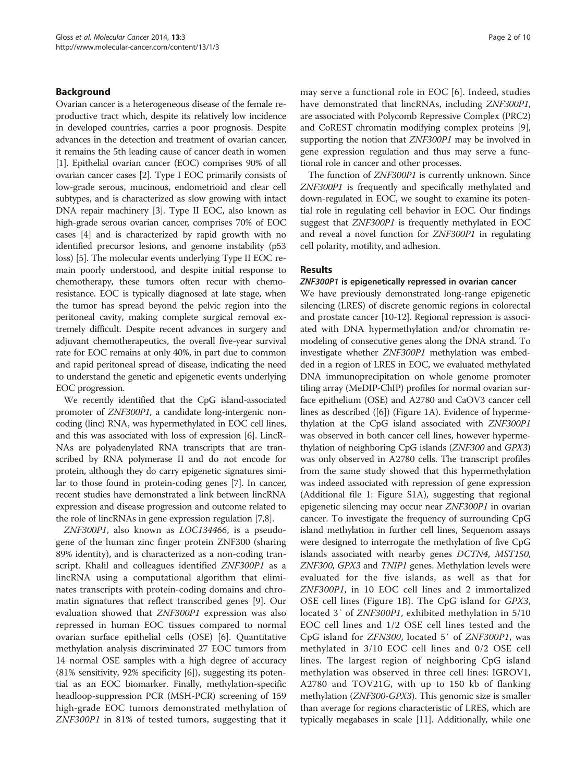# Background

Ovarian cancer is a heterogeneous disease of the female reproductive tract which, despite its relatively low incidence in developed countries, carries a poor prognosis. Despite advances in the detection and treatment of ovarian cancer, it remains the 5th leading cause of cancer death in women [[1](#page-8-0)]. Epithelial ovarian cancer (EOC) comprises 90% of all ovarian cancer cases [\[2\]](#page-8-0). Type I EOC primarily consists of low-grade serous, mucinous, endometrioid and clear cell subtypes, and is characterized as slow growing with intact DNA repair machinery [[3](#page-8-0)]. Type II EOC, also known as high-grade serous ovarian cancer, comprises 70% of EOC cases [[4\]](#page-8-0) and is characterized by rapid growth with no identified precursor lesions, and genome instability (p53 loss) [\[5\]](#page-8-0). The molecular events underlying Type II EOC remain poorly understood, and despite initial response to chemotherapy, these tumors often recur with chemoresistance. EOC is typically diagnosed at late stage, when the tumor has spread beyond the pelvic region into the peritoneal cavity, making complete surgical removal extremely difficult. Despite recent advances in surgery and adjuvant chemotherapeutics, the overall five-year survival rate for EOC remains at only 40%, in part due to common and rapid peritoneal spread of disease, indicating the need to understand the genetic and epigenetic events underlying EOC progression.

We recently identified that the CpG island-associated promoter of ZNF300P1, a candidate long-intergenic noncoding (linc) RNA, was hypermethylated in EOC cell lines, and this was associated with loss of expression [\[6\]](#page-8-0). LincR-NAs are polyadenylated RNA transcripts that are transcribed by RNA polymerase II and do not encode for protein, although they do carry epigenetic signatures similar to those found in protein-coding genes [\[7](#page-8-0)]. In cancer, recent studies have demonstrated a link between lincRNA expression and disease progression and outcome related to the role of lincRNAs in gene expression regulation [[7,8](#page-8-0)].

ZNF300P1, also known as LOC134466, is a pseudogene of the human zinc finger protein ZNF300 (sharing 89% identity), and is characterized as a non-coding transcript. Khalil and colleagues identified ZNF300P1 as a lincRNA using a computational algorithm that eliminates transcripts with protein-coding domains and chromatin signatures that reflect transcribed genes [[9](#page-8-0)]. Our evaluation showed that ZNF300P1 expression was also repressed in human EOC tissues compared to normal ovarian surface epithelial cells (OSE) [\[6](#page-8-0)]. Quantitative methylation analysis discriminated 27 EOC tumors from 14 normal OSE samples with a high degree of accuracy (81% sensitivity, 92% specificity [\[6\]](#page-8-0)), suggesting its potential as an EOC biomarker. Finally, methylation-specific headloop-suppression PCR (MSH-PCR) screening of 159 high-grade EOC tumors demonstrated methylation of ZNF300P1 in 81% of tested tumors, suggesting that it

may serve a functional role in EOC [\[6](#page-8-0)]. Indeed, studies have demonstrated that lincRNAs, including ZNF300P1, are associated with Polycomb Repressive Complex (PRC2) and CoREST chromatin modifying complex proteins [[9](#page-8-0)], supporting the notion that ZNF300P1 may be involved in gene expression regulation and thus may serve a functional role in cancer and other processes.

The function of ZNF300P1 is currently unknown. Since ZNF300P1 is frequently and specifically methylated and down-regulated in EOC, we sought to examine its potential role in regulating cell behavior in EOC. Our findings suggest that ZNF300P1 is frequently methylated in EOC and reveal a novel function for ZNF300P1 in regulating cell polarity, motility, and adhesion.

# Results

#### ZNF300P1 is epigenetically repressed in ovarian cancer

We have previously demonstrated long-range epigenetic silencing (LRES) of discrete genomic regions in colorectal and prostate cancer [[10-12\]](#page-8-0). Regional repression is associated with DNA hypermethylation and/or chromatin remodeling of consecutive genes along the DNA strand. To investigate whether ZNF300P1 methylation was embedded in a region of LRES in EOC, we evaluated methylated DNA immunoprecipitation on whole genome promoter tiling array (MeDIP-ChIP) profiles for normal ovarian surface epithelium (OSE) and A2780 and CaOV3 cancer cell lines as described ([[6](#page-8-0)]) (Figure [1](#page-2-0)A). Evidence of hypermethylation at the CpG island associated with ZNF300P1 was observed in both cancer cell lines, however hypermethylation of neighboring CpG islands (ZNF300 and GPX3) was only observed in A2780 cells. The transcript profiles from the same study showed that this hypermethylation was indeed associated with repression of gene expression (Additional file [1](#page-8-0): Figure S1A), suggesting that regional epigenetic silencing may occur near ZNF300P1 in ovarian cancer. To investigate the frequency of surrounding CpG island methylation in further cell lines, Sequenom assays were designed to interrogate the methylation of five CpG islands associated with nearby genes DCTN4, MST150, ZNF300, GPX3 and TNIP1 genes. Methylation levels were evaluated for the five islands, as well as that for ZNF300P1, in 10 EOC cell lines and 2 immortalized OSE cell lines (Figure [1B](#page-2-0)). The CpG island for GPX3, located 3′ of ZNF300P1, exhibited methylation in 5/10 EOC cell lines and 1/2 OSE cell lines tested and the CpG island for ZFN300, located 5′ of ZNF300P1, was methylated in 3/10 EOC cell lines and 0/2 OSE cell lines. The largest region of neighboring CpG island methylation was observed in three cell lines: IGROV1, A2780 and TOV21G, with up to 150 kb of flanking methylation (ZNF300-GPX3). This genomic size is smaller than average for regions characteristic of LRES, which are typically megabases in scale [\[11\]](#page-8-0). Additionally, while one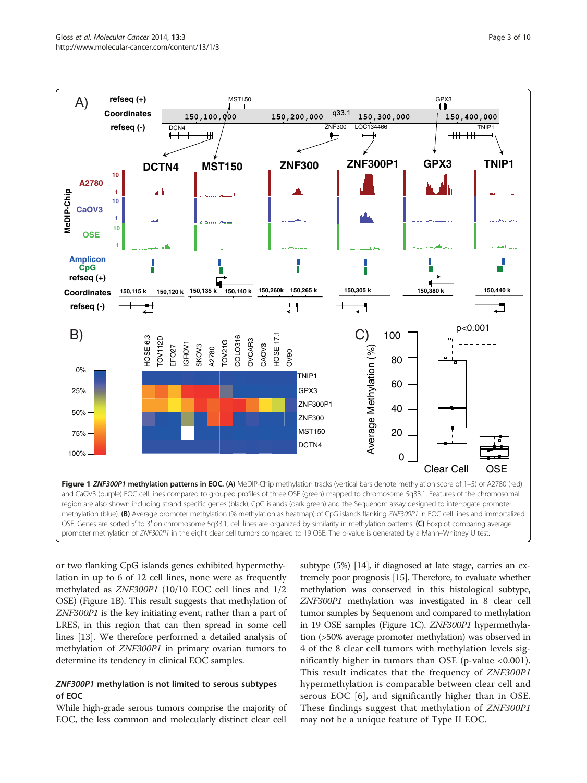<span id="page-2-0"></span>

or two flanking CpG islands genes exhibited hypermethylation in up to 6 of 12 cell lines, none were as frequently methylated as ZNF300P1 (10/10 EOC cell lines and 1/2 OSE) (Figure 1B). This result suggests that methylation of ZNF300P1 is the key initiating event, rather than a part of LRES, in this region that can then spread in some cell lines [\[13\]](#page-8-0). We therefore performed a detailed analysis of methylation of ZNF300P1 in primary ovarian tumors to determine its tendency in clinical EOC samples.

# ZNF300P1 methylation is not limited to serous subtypes of EOC

While high-grade serous tumors comprise the majority of EOC, the less common and molecularly distinct clear cell

subtype (5%) [\[14\]](#page-8-0), if diagnosed at late stage, carries an extremely poor prognosis [\[15\]](#page-8-0). Therefore, to evaluate whether methylation was conserved in this histological subtype, ZNF300P1 methylation was investigated in 8 clear cell tumor samples by Sequenom and compared to methylation in 19 OSE samples (Figure 1C). ZNF300P1 hypermethylation (>50% average promoter methylation) was observed in 4 of the 8 clear cell tumors with methylation levels significantly higher in tumors than OSE (p-value <0.001). This result indicates that the frequency of ZNF300P1 hypermethylation is comparable between clear cell and serous EOC [[6](#page-8-0)], and significantly higher than in OSE. These findings suggest that methylation of ZNF300P1 may not be a unique feature of Type II EOC.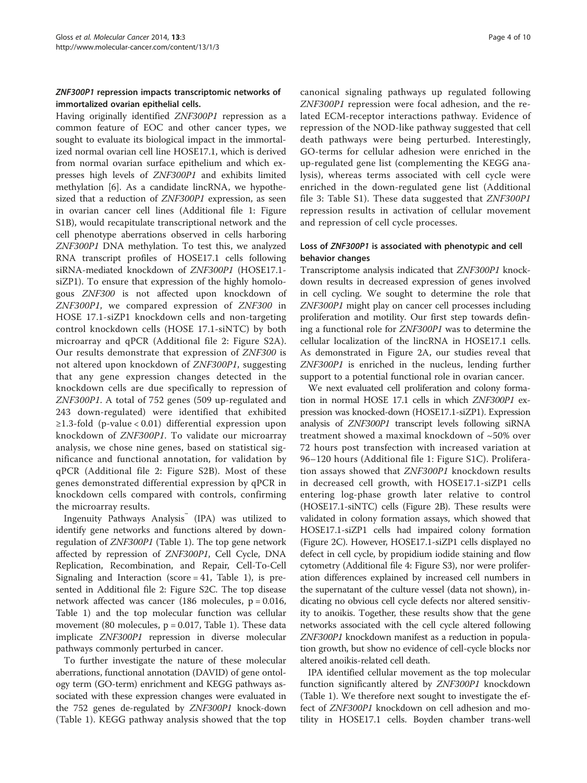# ZNF300P1 repression impacts transcriptomic networks of immortalized ovarian epithelial cells.

Having originally identified ZNF300P1 repression as a common feature of EOC and other cancer types, we sought to evaluate its biological impact in the immortalized normal ovarian cell line HOSE17.1, which is derived from normal ovarian surface epithelium and which expresses high levels of ZNF300P1 and exhibits limited methylation [\[6\]](#page-8-0). As a candidate lincRNA, we hypothesized that a reduction of ZNF300P1 expression, as seen in ovarian cancer cell lines (Additional file [1](#page-8-0): Figure S1B), would recapitulate transcriptional network and the cell phenotype aberrations observed in cells harboring ZNF300P1 DNA methylation. To test this, we analyzed RNA transcript profiles of HOSE17.1 cells following siRNA-mediated knockdown of ZNF300P1 (HOSE17.1 siZP1). To ensure that expression of the highly homologous ZNF300 is not affected upon knockdown of ZNF300P1, we compared expression of ZNF300 in HOSE 17.1-siZP1 knockdown cells and non-targeting control knockdown cells (HOSE 17.1-siNTC) by both microarray and qPCR (Additional file [2](#page-8-0): Figure S2A). Our results demonstrate that expression of ZNF300 is not altered upon knockdown of ZNF300P1, suggesting that any gene expression changes detected in the knockdown cells are due specifically to repression of ZNF300P1. A total of 752 genes (509 up-regulated and 243 down-regulated) were identified that exhibited ≥1.3-fold (p-value < 0.01) differential expression upon knockdown of ZNF300P1. To validate our microarray analysis, we chose nine genes, based on statistical significance and functional annotation, for validation by qPCR (Additional file [2](#page-8-0): Figure S2B). Most of these genes demonstrated differential expression by qPCR in knockdown cells compared with controls, confirming the microarray results.

Ingenuity Pathways Analysis (IPA) was utilized to identify gene networks and functions altered by downregulation of ZNF300P1 (Table [1\)](#page-4-0). The top gene network affected by repression of ZNF300P1, Cell Cycle, DNA Replication, Recombination, and Repair, Cell-To-Cell Signaling and Interaction (score = 41, Table [1\)](#page-4-0), is presented in Additional file [2:](#page-8-0) Figure S2C. The top disease network affected was cancer (186 molecules,  $p = 0.016$ , Table [1\)](#page-4-0) and the top molecular function was cellular movement (80 molecules,  $p = 0.017$ , Table [1](#page-4-0)). These data implicate ZNF300P1 repression in diverse molecular pathways commonly perturbed in cancer.

To further investigate the nature of these molecular aberrations, functional annotation (DAVID) of gene ontology term (GO-term) enrichment and KEGG pathways associated with these expression changes were evaluated in the 752 genes de-regulated by ZNF300P1 knock-down (Table [1](#page-4-0)). KEGG pathway analysis showed that the top

canonical signaling pathways up regulated following ZNF300P1 repression were focal adhesion, and the related ECM-receptor interactions pathway. Evidence of repression of the NOD-like pathway suggested that cell death pathways were being perturbed. Interestingly, GO-terms for cellular adhesion were enriched in the up-regulated gene list (complementing the KEGG analysis), whereas terms associated with cell cycle were enriched in the down-regulated gene list (Additional file [3](#page-8-0): Table S1). These data suggested that ZNF300P1 repression results in activation of cellular movement and repression of cell cycle processes.

# Loss of ZNF300P1 is associated with phenotypic and cell behavior changes

Transcriptome analysis indicated that ZNF300P1 knockdown results in decreased expression of genes involved in cell cycling. We sought to determine the role that ZNF300P1 might play on cancer cell processes including proliferation and motility. Our first step towards defining a functional role for ZNF300P1 was to determine the cellular localization of the lincRNA in HOSE17.1 cells. As demonstrated in Figure [2A](#page-5-0), our studies reveal that ZNF300P1 is enriched in the nucleus, lending further support to a potential functional role in ovarian cancer.

We next evaluated cell proliferation and colony formation in normal HOSE 17.1 cells in which ZNF300P1 expression was knocked-down (HOSE17.1-siZP1). Expression analysis of ZNF300P1 transcript levels following siRNA treatment showed a maximal knockdown of ~50% over 72 hours post transfection with increased variation at 96–120 hours (Additional file [1](#page-8-0): Figure S1C). Proliferation assays showed that ZNF300P1 knockdown results in decreased cell growth, with HOSE17.1-siZP1 cells entering log-phase growth later relative to control (HOSE17.1-siNTC) cells (Figure [2](#page-5-0)B). These results were validated in colony formation assays, which showed that HOSE17.1-siZP1 cells had impaired colony formation (Figure [2](#page-5-0)C). However, HOSE17.1-siZP1 cells displayed no defect in cell cycle, by propidium iodide staining and flow cytometry (Additional file [4:](#page-8-0) Figure S3), nor were proliferation differences explained by increased cell numbers in the supernatant of the culture vessel (data not shown), indicating no obvious cell cycle defects nor altered sensitivity to anoikis. Together, these results show that the gene networks associated with the cell cycle altered following ZNF300P1 knockdown manifest as a reduction in population growth, but show no evidence of cell-cycle blocks nor altered anoikis-related cell death.

IPA identified cellular movement as the top molecular function significantly altered by ZNF300P1 knockdown (Table [1\)](#page-4-0). We therefore next sought to investigate the effect of ZNF300P1 knockdown on cell adhesion and motility in HOSE17.1 cells. Boyden chamber trans-well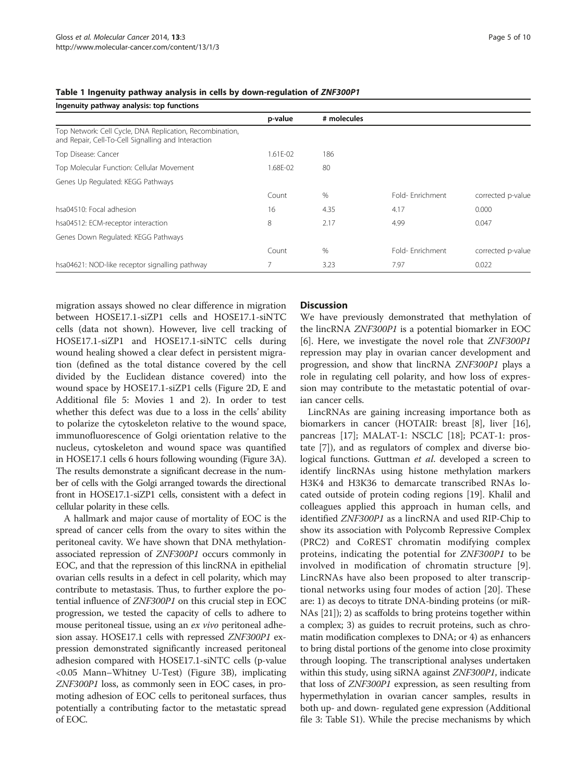| Ingenuity pathway analysis: top functions                                                                       |                |             |                 |                   |
|-----------------------------------------------------------------------------------------------------------------|----------------|-------------|-----------------|-------------------|
|                                                                                                                 | p-value        | # molecules |                 |                   |
| Top Network: Cell Cycle, DNA Replication, Recombination,<br>and Repair, Cell-To-Cell Signalling and Interaction |                |             |                 |                   |
| Top Disease: Cancer                                                                                             | $1.61F - 02$   | 186         |                 |                   |
| Top Molecular Function: Cellular Movement                                                                       | 1.68E-02       | 80          |                 |                   |
| Genes Up Regulated: KEGG Pathways                                                                               |                |             |                 |                   |
|                                                                                                                 | Count          | $\%$        | Fold-Fnrichment | corrected p-value |
| hsa04510: Focal adhesion                                                                                        | 16             | 4.35        | 4.17            | 0.000             |
| hsa04512: ECM-receptor interaction                                                                              | 8              | 2.17        | 4.99            | 0.047             |
| Genes Down Regulated: KEGG Pathways                                                                             |                |             |                 |                   |
|                                                                                                                 | Count          | $\%$        | Fold-Fnrichment | corrected p-value |
| hsa04621: NOD-like receptor signalling pathway                                                                  | $\overline{7}$ | 3.23        | 7.97            | 0.022             |

#### <span id="page-4-0"></span>Table 1 Ingenuity pathway analysis in cells by down-regulation of ZNF300P1

migration assays showed no clear difference in migration between HOSE17.1-siZP1 cells and HOSE17.1-siNTC cells (data not shown). However, live cell tracking of HOSE17.1-siZP1 and HOSE17.1-siNTC cells during wound healing showed a clear defect in persistent migration (defined as the total distance covered by the cell divided by the Euclidean distance covered) into the wound space by HOSE17.1-siZP1 cells (Figure [2D](#page-5-0), E and Additional file [5:](#page-8-0) Movies 1 and 2). In order to test whether this defect was due to a loss in the cells' ability to polarize the cytoskeleton relative to the wound space, immunofluorescence of Golgi orientation relative to the nucleus, cytoskeleton and wound space was quantified in HOSE17.1 cells 6 hours following wounding (Figure [3A](#page-6-0)). The results demonstrate a significant decrease in the number of cells with the Golgi arranged towards the directional front in HOSE17.1-siZP1 cells, consistent with a defect in cellular polarity in these cells.

A hallmark and major cause of mortality of EOC is the spread of cancer cells from the ovary to sites within the peritoneal cavity. We have shown that DNA methylationassociated repression of ZNF300P1 occurs commonly in EOC, and that the repression of this lincRNA in epithelial ovarian cells results in a defect in cell polarity, which may contribute to metastasis. Thus, to further explore the potential influence of ZNF300P1 on this crucial step in EOC progression, we tested the capacity of cells to adhere to mouse peritoneal tissue, using an ex vivo peritoneal adhesion assay. HOSE17.1 cells with repressed ZNF300P1 expression demonstrated significantly increased peritoneal adhesion compared with HOSE17.1-siNTC cells (p-value <0.05 Mann–Whitney U-Test) (Figure [3](#page-6-0)B), implicating ZNF300P1 loss, as commonly seen in EOC cases, in promoting adhesion of EOC cells to peritoneal surfaces, thus potentially a contributing factor to the metastatic spread of EOC.

# **Discussion**

We have previously demonstrated that methylation of the lincRNA ZNF300P1 is a potential biomarker in EOC [[6\]](#page-8-0). Here, we investigate the novel role that ZNF300P1 repression may play in ovarian cancer development and progression, and show that lincRNA ZNF300P1 plays a role in regulating cell polarity, and how loss of expression may contribute to the metastatic potential of ovarian cancer cells.

LincRNAs are gaining increasing importance both as biomarkers in cancer (HOTAIR: breast [[8\]](#page-8-0), liver [\[16](#page-8-0)], pancreas [\[17](#page-9-0)]; MALAT-1: NSCLC [\[18\]](#page-9-0); PCAT-1: prostate [[7\]](#page-8-0)), and as regulators of complex and diverse biological functions. Guttman et al. developed a screen to identify lincRNAs using histone methylation markers H3K4 and H3K36 to demarcate transcribed RNAs located outside of protein coding regions [[19\]](#page-9-0). Khalil and colleagues applied this approach in human cells, and identified ZNF300P1 as a lincRNA and used RIP-Chip to show its association with Polycomb Repressive Complex (PRC2) and CoREST chromatin modifying complex proteins, indicating the potential for ZNF300P1 to be involved in modification of chromatin structure [[9](#page-8-0)]. LincRNAs have also been proposed to alter transcriptional networks using four modes of action [[20\]](#page-9-0). These are: 1) as decoys to titrate DNA-binding proteins (or miR-NAs [[21](#page-9-0)]); 2) as scaffolds to bring proteins together within a complex; 3) as guides to recruit proteins, such as chromatin modification complexes to DNA; or 4) as enhancers to bring distal portions of the genome into close proximity through looping. The transcriptional analyses undertaken within this study, using siRNA against *ZNF300P1*, indicate that loss of ZNF300P1 expression, as seen resulting from hypermethylation in ovarian cancer samples, results in both up- and down- regulated gene expression (Additional file [3](#page-8-0): Table S1). While the precise mechanisms by which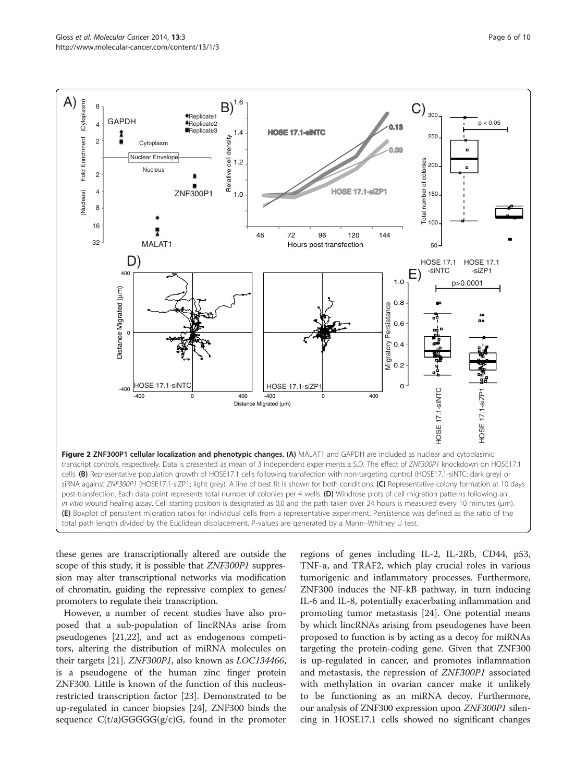<span id="page-5-0"></span>

these genes are transcriptionally altered are outside the scope of this study, it is possible that *ZNF300P1* suppression may alter transcriptional networks via modification of chromatin, guiding the repressive complex to genes/ promoters to regulate their transcription.

However, a number of recent studies have also proposed that a sub-population of lincRNAs arise from pseudogenes [[21,22\]](#page-9-0), and act as endogenous competitors, altering the distribution of miRNA molecules on their targets [\[21](#page-9-0)]. ZNF300P1, also known as LOC134466, is a pseudogene of the human zinc finger protein ZNF300. Little is known of the function of this nucleusrestricted transcription factor [\[23\]](#page-9-0). Demonstrated to be up-regulated in cancer biopsies [\[24\]](#page-9-0), ZNF300 binds the sequence  $C(t/a)GGGGG(g/c)G$ , found in the promoter

regions of genes including IL-2, IL-2Rb, CD44, p53, TNF-a, and TRAF2, which play crucial roles in various tumorigenic and inflammatory processes. Furthermore, ZNF300 induces the NF-kB pathway, in turn inducing IL-6 and IL-8, potentially exacerbating inflammation and promoting tumor metastasis [\[24\]](#page-9-0). One potential means by which lincRNAs arising from pseudogenes have been proposed to function is by acting as a decoy for miRNAs targeting the protein-coding gene. Given that ZNF300 is up-regulated in cancer, and promotes inflammation and metastasis, the repression of ZNF300P1 associated with methylation in ovarian cancer make it unlikely to be functioning as an miRNA decoy. Furthermore, our analysis of ZNF300 expression upon ZNF300P1 silen-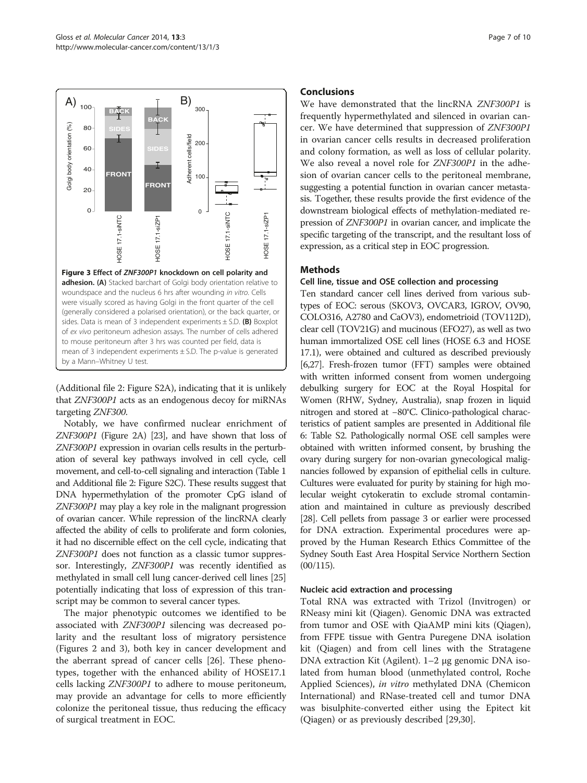<span id="page-6-0"></span>

(Additional file [2](#page-8-0): Figure S2A), indicating that it is unlikely that ZNF300P1 acts as an endogenous decoy for miRNAs targeting ZNF300.

Notably, we have confirmed nuclear enrichment of ZNF300P1 (Figure [2A](#page-5-0)) [\[23](#page-9-0)], and have shown that loss of ZNF300P1 expression in ovarian cells results in the perturbation of several key pathways involved in cell cycle, cell movement, and cell-to-cell signaling and interaction (Table [1](#page-4-0) and Additional file [2:](#page-8-0) Figure S2C). These results suggest that DNA hypermethylation of the promoter CpG island of ZNF300P1 may play a key role in the malignant progression of ovarian cancer. While repression of the lincRNA clearly affected the ability of cells to proliferate and form colonies, it had no discernible effect on the cell cycle, indicating that ZNF300P1 does not function as a classic tumor suppressor. Interestingly, ZNF300P1 was recently identified as methylated in small cell lung cancer-derived cell lines [[25](#page-9-0)] potentially indicating that loss of expression of this transcript may be common to several cancer types.

The major phenotypic outcomes we identified to be associated with ZNF300P1 silencing was decreased polarity and the resultant loss of migratory persistence (Figures [2](#page-5-0) and 3), both key in cancer development and the aberrant spread of cancer cells [\[26\]](#page-9-0). These phenotypes, together with the enhanced ability of HOSE17.1 cells lacking ZNF300P1 to adhere to mouse peritoneum, may provide an advantage for cells to more efficiently colonize the peritoneal tissue, thus reducing the efficacy of surgical treatment in EOC.

# Conclusions

We have demonstrated that the lincRNA ZNF300P1 is frequently hypermethylated and silenced in ovarian cancer. We have determined that suppression of ZNF300P1 in ovarian cancer cells results in decreased proliferation and colony formation, as well as loss of cellular polarity. We also reveal a novel role for ZNF300P1 in the adhesion of ovarian cancer cells to the peritoneal membrane, suggesting a potential function in ovarian cancer metastasis. Together, these results provide the first evidence of the downstream biological effects of methylation-mediated repression of ZNF300P1 in ovarian cancer, and implicate the specific targeting of the transcript, and the resultant loss of expression, as a critical step in EOC progression.

# Methods

#### Cell line, tissue and OSE collection and processing

Ten standard cancer cell lines derived from various subtypes of EOC: serous (SKOV3, OVCAR3, IGROV, OV90, COLO316, A2780 and CaOV3), endometrioid (TOV112D), clear cell (TOV21G) and mucinous (EFO27), as well as two human immortalized OSE cell lines (HOSE 6.3 and HOSE 17.1), were obtained and cultured as described previously [[6](#page-8-0)[,27\]](#page-9-0). Fresh-frozen tumor (FFT) samples were obtained with written informed consent from women undergoing debulking surgery for EOC at the Royal Hospital for Women (RHW, Sydney, Australia), snap frozen in liquid nitrogen and stored at −80°C. Clinico-pathological characteristics of patient samples are presented in Additional file [6](#page-8-0): Table S2. Pathologically normal OSE cell samples were obtained with written informed consent, by brushing the ovary during surgery for non-ovarian gynecological malignancies followed by expansion of epithelial cells in culture. Cultures were evaluated for purity by staining for high molecular weight cytokeratin to exclude stromal contamination and maintained in culture as previously described [[28](#page-9-0)]. Cell pellets from passage 3 or earlier were processed for DNA extraction. Experimental procedures were approved by the Human Research Ethics Committee of the Sydney South East Area Hospital Service Northern Section  $(00/115).$ 

# Nucleic acid extraction and processing

Total RNA was extracted with Trizol (Invitrogen) or RNeasy mini kit (Qiagen). Genomic DNA was extracted from tumor and OSE with QiaAMP mini kits (Qiagen), from FFPE tissue with Gentra Puregene DNA isolation kit (Qiagen) and from cell lines with the Stratagene DNA extraction Kit (Agilent). 1–2 μg genomic DNA isolated from human blood (unmethylated control, Roche Applied Sciences), in vitro methylated DNA (Chemicon International) and RNase-treated cell and tumor DNA was bisulphite-converted either using the Epitect kit (Qiagen) or as previously described [[29,30](#page-9-0)].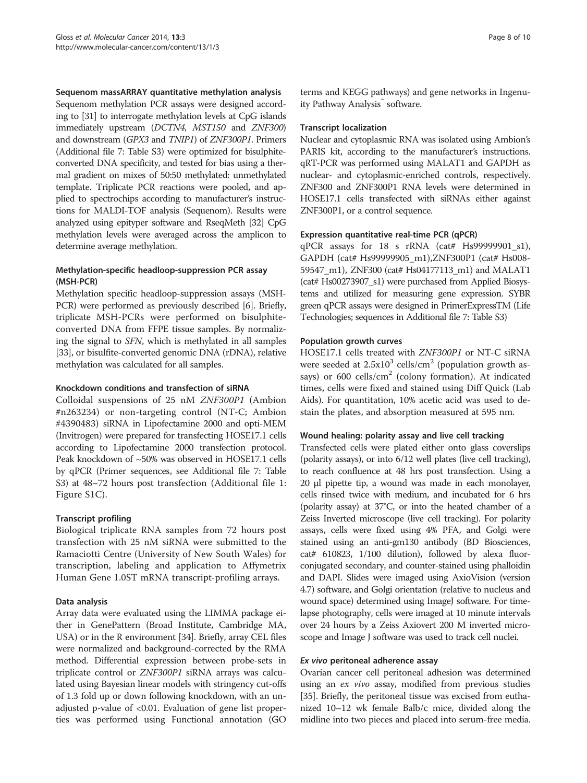Sequenom massARRAY quantitative methylation analysis

Sequenom methylation PCR assays were designed according to [\[31](#page-9-0)] to interrogate methylation levels at CpG islands immediately upstream (DCTN4, MST150 and ZNF300) and downstream (GPX3 and TNIP1) of ZNF300P1. Primers (Additional file [7](#page-8-0): Table S3) were optimized for bisulphiteconverted DNA specificity, and tested for bias using a thermal gradient on mixes of 50:50 methylated: unmethylated template. Triplicate PCR reactions were pooled, and applied to spectrochips according to manufacturer's instructions for MALDI-TOF analysis (Sequenom). Results were analyzed using epityper software and RseqMeth [[32](#page-9-0)] CpG methylation levels were averaged across the amplicon to determine average methylation.

# Methylation-specific headloop-suppression PCR assay (MSH-PCR)

Methylation specific headloop-suppression assays (MSH-PCR) were performed as previously described [\[6](#page-8-0)]. Briefly, triplicate MSH-PCRs were performed on bisulphiteconverted DNA from FFPE tissue samples. By normalizing the signal to SFN, which is methylated in all samples [[33](#page-9-0)], or bisulfite-converted genomic DNA (rDNA), relative methylation was calculated for all samples.

#### Knockdown conditions and transfection of siRNA

Colloidal suspensions of 25 nM ZNF300P1 (Ambion #n263234) or non-targeting control (NT-C; Ambion #4390483) siRNA in Lipofectamine 2000 and opti-MEM (Invitrogen) were prepared for transfecting HOSE17.1 cells according to Lipofectamine 2000 transfection protocol. Peak knockdown of ~50% was observed in HOSE17.1 cells by qPCR (Primer sequences, see Additional file [7:](#page-8-0) Table S3) at 48–72 hours post transfection (Additional file [1](#page-8-0): Figure S1C).

# Transcript profiling

Biological triplicate RNA samples from 72 hours post transfection with 25 nM siRNA were submitted to the Ramaciotti Centre (University of New South Wales) for transcription, labeling and application to Affymetrix Human Gene 1.0ST mRNA transcript-profiling arrays.

# Data analysis

Array data were evaluated using the LIMMA package either in GenePattern (Broad Institute, Cambridge MA, USA) or in the R environment [\[34\]](#page-9-0). Briefly, array CEL files were normalized and background-corrected by the RMA method. Differential expression between probe-sets in triplicate control or ZNF300P1 siRNA arrays was calculated using Bayesian linear models with stringency cut-offs of 1.3 fold up or down following knockdown, with an unadjusted p-value of <0.01. Evaluation of gene list properties was performed using Functional annotation (GO terms and KEGG pathways) and gene networks in Ingenuity Pathway Analysis<sup>™</sup> software.

#### Transcript localization

Nuclear and cytoplasmic RNA was isolated using Ambion's PARIS kit, according to the manufacturer's instructions. qRT-PCR was performed using MALAT1 and GAPDH as nuclear- and cytoplasmic-enriched controls, respectively. ZNF300 and ZNF300P1 RNA levels were determined in HOSE17.1 cells transfected with siRNAs either against ZNF300P1, or a control sequence.

#### Expression quantitative real-time PCR (qPCR)

qPCR assays for 18 s rRNA (cat# Hs99999901\_s1), GAPDH (cat# Hs99999905\_m1),ZNF300P1 (cat# Hs008- 59547\_m1), ZNF300 (cat# Hs04177113\_m1) and MALAT1 (cat# Hs00273907\_s1) were purchased from Applied Biosystems and utilized for measuring gene expression. SYBR green qPCR assays were designed in PrimerExpressTM (Life Technologies; sequences in Additional file [7](#page-8-0): Table S3)

#### Population growth curves

HOSE17.1 cells treated with ZNF300P1 or NT-C siRNA were seeded at  $2.5x10^3$  cells/cm<sup>2</sup> (population growth assays) or 600 cells/ $\text{cm}^2$  (colony formation). At indicated times, cells were fixed and stained using Diff Quick (Lab Aids). For quantitation, 10% acetic acid was used to destain the plates, and absorption measured at 595 nm.

#### Wound healing: polarity assay and live cell tracking

Transfected cells were plated either onto glass coverslips (polarity assays), or into 6/12 well plates (live cell tracking), to reach confluence at 48 hrs post transfection. Using a 20 μl pipette tip, a wound was made in each monolayer, cells rinsed twice with medium, and incubated for 6 hrs (polarity assay) at 37°C, or into the heated chamber of a Zeiss Inverted microscope (live cell tracking). For polarity assays, cells were fixed using 4% PFA, and Golgi were stained using an anti-gm130 antibody (BD Biosciences, cat# 610823, 1/100 dilution), followed by alexa fluorconjugated secondary, and counter-stained using phalloidin and DAPI. Slides were imaged using AxioVision (version 4.7) software, and Golgi orientation (relative to nucleus and wound space) determined using ImageJ software. For timelapse photography, cells were imaged at 10 minute intervals over 24 hours by a Zeiss Axiovert 200 M inverted microscope and Image J software was used to track cell nuclei.

#### Ex vivo peritoneal adherence assay

Ovarian cancer cell peritoneal adhesion was determined using an ex vivo assay, modified from previous studies [[35](#page-9-0)]. Briefly, the peritoneal tissue was excised from euthanized 10–12 wk female Balb/c mice, divided along the midline into two pieces and placed into serum-free media.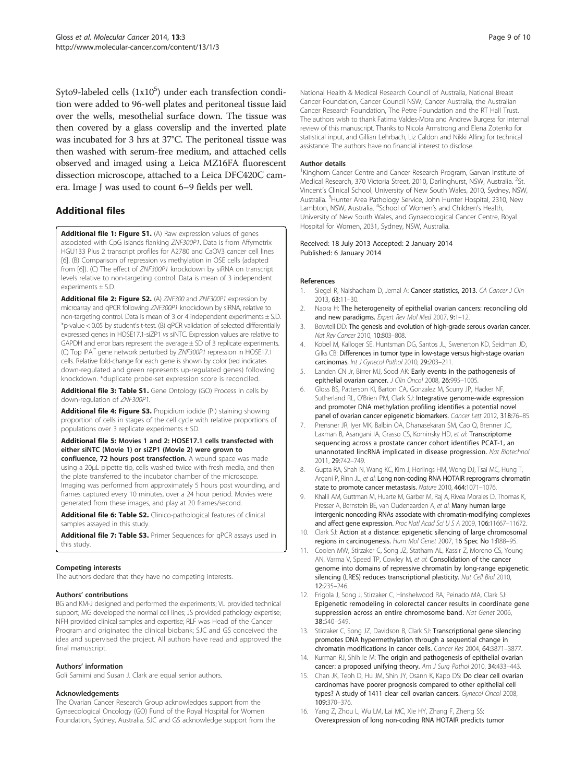<span id="page-8-0"></span>Syto9-labeled cells  $(1x10^5)$  under each transfection condition were added to 96-well plates and peritoneal tissue laid over the wells, mesothelial surface down. The tissue was then covered by a glass coverslip and the inverted plate was incubated for 3 hrs at 37°C. The peritoneal tissue was then washed with serum-free medium, and attached cells observed and imaged using a Leica MZ16FA fluorescent dissection microscope, attached to a Leica DFC420C camera. Image J was used to count 6–9 fields per well.

# Additional files

[Additional file 1: Figure S1.](http://www.biomedcentral.com/content/supplementary/1476-4598-13-3-S1.pdf) (A) Raw expression values of genes associated with CpG islands flanking ZNF300P1. Data is from Affymetrix HGU133 Plus 2 transcript profiles for A2780 and CaOV3 cancer cell lines [6]. (B) Comparison of repression vs methylation in OSE cells (adapted from [6]). (C) The effect of ZNF300P1 knockdown by siRNA on transcript levels relative to non-targeting control. Data is mean of 3 independent experiments ± S.D.

[Additional file 2: Figure S2.](http://www.biomedcentral.com/content/supplementary/1476-4598-13-3-S2.pdf) (A) ZNF300 and ZNF300P1 expression by microarray and qPCR following ZNF300P1 knockdown by siRNA, relative to non-targeting control. Data is mean of 3 or 4 independent experiments  $\pm$  S.D. \*p-value < 0.05 by student's t-test. (B) qPCR validation of selected differentially expressed genes in HOSE17.1-siZP1 vs siNTC. Expression values are relative to GAPDH and error bars represent the average ± SD of 3 replicate experiments. (C) Top IPA™ gene network perturbed by ZNF300P1 repression in HOSE17.1 cells. Relative fold-change for each gene is shown by color (red indicates down-regulated and green represents up-regulated genes) following knockdown. \*duplicate probe-set expression score is reconciled.

[Additional file 3: Table S1.](http://www.biomedcentral.com/content/supplementary/1476-4598-13-3-S3.docx) Gene Ontology (GO) Process in cells by down-regulation of ZNF300P1.

[Additional file 4: Figure S3.](http://www.biomedcentral.com/content/supplementary/1476-4598-13-3-S4.pdf) Propidium iodide (PI) staining showing proportion of cells in stages of the cell cycle with relative proportions of populations over 3 replicate experiments  $\pm$  SD.

[Additional file 5:](http://www.biomedcentral.com/content/supplementary/1476-4598-13-3-S5.zip) Movies 1 and 2: HOSE17.1 cells transfected with either siNTC (Movie 1) or siZP1 (Movie 2) were grown to

confluence, 72 hours post transfection. A wound space was made using a 20μL pipette tip, cells washed twice with fresh media, and then the plate transferred to the incubator chamber of the microscope. Imaging was performed from approximately 5 hours post wounding, and frames captured every 10 minutes, over a 24 hour period. Movies were generated from these images, and play at 20 frames/second.

[Additional file 6: Table S2.](http://www.biomedcentral.com/content/supplementary/1476-4598-13-3-S6.docx) Clinico-pathological features of clinical samples assayed in this study.

[Additional file 7: Table S3.](http://www.biomedcentral.com/content/supplementary/1476-4598-13-3-S7.docx) Primer Sequences for qPCR assays used in this study.

#### Competing interests

The authors declare that they have no competing interests.

#### Authors' contributions

BG and KM-J designed and performed the experiments; VL provided technical support; MG developed the normal cell lines; JS provided pathology expertise; NFH provided clinical samples and expertise; RLF was Head of the Cancer Program and originated the clinical biobank; SJC and GS conceived the idea and supervised the project. All authors have read and approved the final manuscript.

#### Authors' information

Goli Samimi and Susan J. Clark are equal senior authors.

#### Acknowledgements

The Ovarian Cancer Research Group acknowledges support from the Gynaecological Oncology (GO) Fund of the Royal Hospital for Women Foundation, Sydney, Australia. SJC and GS acknowledge support from the

National Health & Medical Research Council of Australia, National Breast Cancer Foundation, Cancer Council NSW, Cancer Australia, the Australian Cancer Research Foundation, The Petre Foundation and the RT Hall Trust. The authors wish to thank Fatima Valdes-Mora and Andrew Burgess for internal review of this manuscript. Thanks to Nicola Armstrong and Elena Zotenko for statistical input, and Gillian Lehrbach, Liz Caldon and Nikki Alling for technical assistance. The authors have no financial interest to disclose.

#### Author details

<sup>1</sup> Kinghorn Cancer Centre and Cancer Research Program, Garvan Institute of Medical Research, 370 Victoria Street, 2010, Darlinghurst, NSW, Australia. <sup>2</sup>St. Vincent's Clinical School, University of New South Wales, 2010, Sydney, NSW, Australia. <sup>3</sup> Hunter Area Pathology Service, John Hunter Hospital, 2310, New Lambton, NSW, Australia. <sup>4</sup>School of Women's and Children's Health, University of New South Wales, and Gynaecological Cancer Centre, Royal Hospital for Women, 2031, Sydney, NSW, Australia.

#### Received: 18 July 2013 Accepted: 2 January 2014 Published: 6 January 2014

#### References

- 1. Siegel R, Naishadham D, Jemal A: Cancer statistics, 2013. CA Cancer J Clin 2013, 63:11–30.
- 2. Naora H: The heterogeneity of epithelial ovarian cancers: reconciling old and new paradigms. Expert Rev Mol Med 2007, 9:1-12.
- 3. Bowtell DD: The genesis and evolution of high-grade serous ovarian cancer. Nat Rev Cancer 2010, 10:803–808.
- 4. Kobel M, Kalloger SE, Huntsman DG, Santos JL, Swenerton KD, Seidman JD, Gilks CB: Differences in tumor type in low-stage versus high-stage ovarian carcinomas. Int J Gynecol Pathol 2010, 29:203–211.
- 5. Landen CN Jr, Birrer MJ, Sood AK: Early events in the pathogenesis of epithelial ovarian cancer. J Clin Oncol 2008, 26:995-1005.
- 6. Gloss BS, Patterson KI, Barton CA, Gonzalez M, Scurry JP, Hacker NF, Sutherland RL, O'Brien PM, Clark SJ: Integrative genome-wide expression and promoter DNA methylation profiling identifies a potential novel panel of ovarian cancer epigenetic biomarkers. Cancer Lett 2012, 318:76-85.
- 7. Prensner JR, Iyer MK, Balbin OA, Dhanasekaran SM, Cao Q, Brenner JC, Laxman B, Asangani IA, Grasso CS, Kominsky HD, et al: Transcriptome sequencing across a prostate cancer cohort identifies PCAT-1, an unannotated lincRNA implicated in disease progression. Nat Biotechnol 2011, 29:742–749.
- 8. Gupta RA, Shah N, Wang KC, Kim J, Horlings HM, Wong DJ, Tsai MC, Hung T, Argani P, Rinn JL, et al: Long non-coding RNA HOTAIR reprograms chromatin state to promote cancer metastasis. Nature 2010, 464:1071–1076.
- 9. Khalil AM, Guttman M, Huarte M, Garber M, Raj A, Rivea Morales D, Thomas K, Presser A, Bernstein BE, van Oudenaarden A, et al: Many human large intergenic noncoding RNAs associate with chromatin-modifying complexes and affect gene expression. Proc Natl Acad Sci U S A 2009, 106:11667–11672.
- 10. Clark SJ: Action at a distance: epigenetic silencing of large chromosomal regions in carcinogenesis. Hum Mol Genet 2007, 16 Spec No 1:R88–95.
- 11. Coolen MW, Stirzaker C, Song JZ, Statham AL, Kassir Z, Moreno CS, Young AN, Varma V, Speed TP, Cowley M, et al: Consolidation of the cancer genome into domains of repressive chromatin by long-range epigenetic silencing (LRES) reduces transcriptional plasticity. Nat Cell Biol 2010, 12:235–246.
- 12. Frigola J, Song J, Stirzaker C, Hinshelwood RA, Peinado MA, Clark SJ: Epigenetic remodeling in colorectal cancer results in coordinate gene suppression across an entire chromosome band. Nat Genet 2006, 38:540–549.
- 13. Stirzaker C, Song JZ, Davidson B, Clark SJ: Transcriptional gene silencing promotes DNA hypermethylation through a sequential change in chromatin modifications in cancer cells. Cancer Res 2004, 64:3871–3877.
- 14. Kurman RJ, Shih Ie M: The origin and pathogenesis of epithelial ovarian cancer: a proposed unifying theory. Am J Surg Pathol 2010, 34:433-443.
- 15. Chan JK, Teoh D, Hu JM, Shin JY, Osann K, Kapp DS: Do clear cell ovarian carcinomas have poorer prognosis compared to other epithelial cell types? A study of 1411 clear cell ovarian cancers. Gynecol Oncol 2008, 109:370–376.
- 16. Yang Z, Zhou L, Wu LM, Lai MC, Xie HY, Zhang F, Zheng SS: Overexpression of long non-coding RNA HOTAIR predicts tumor